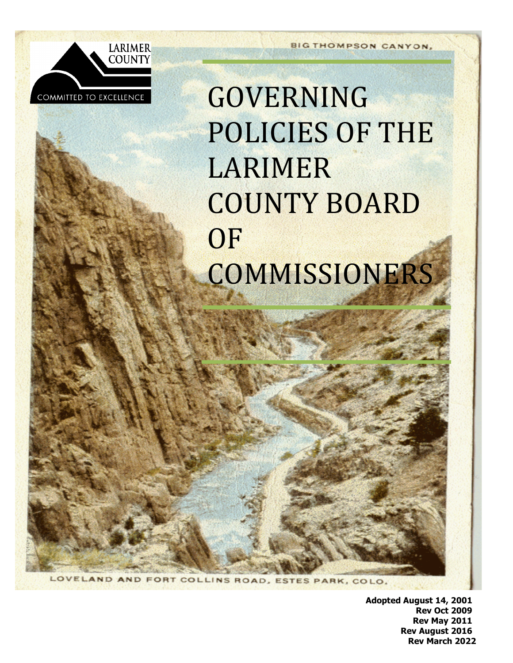

GOVERNING POLICIES OF THE LARIMER COUNTY BOARD **OF** COMMISSIONERS

LOVELAND AND FORT COLLINS ROAD, ESTES PARK, COLO.

**Adopted August 14, 2001 Rev Oct 2009 Rev May 2011 Rev August 2016 Rev March 2022**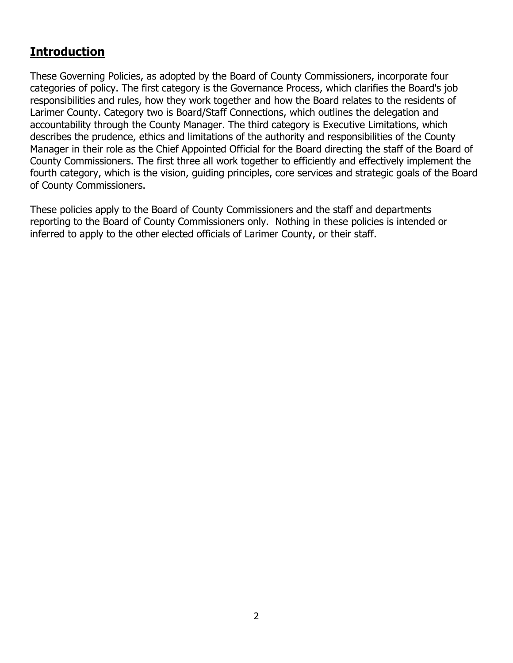# **Introduction**

 These Governing Policies, as adopted by the Board of County Commissioners, incorporate four categories of policy. The first category is the Governance Process, which clarifies the Board's job responsibilities and rules, how they work together and how the Board relates to the residents of Larimer County. Category two is Board/Staff Connections, which outlines the delegation and accountability through the County Manager. The third category is Executive Limitations, which describes the prudence, ethics and limitations of the authority and responsibilities of the County Manager in their role as the Chief Appointed Official for the Board directing the staff of the Board of County Commissioners. The first three all work together to efficiently and effectively implement the fourth category, which is the vision, guiding principles, core services and strategic goals of the Board of County Commissioners.

 These policies apply to the Board of County Commissioners and the staff and departments reporting to the Board of County Commissioners only. Nothing in these policies is intended or inferred to apply to the other elected officials of Larimer County, or their staff.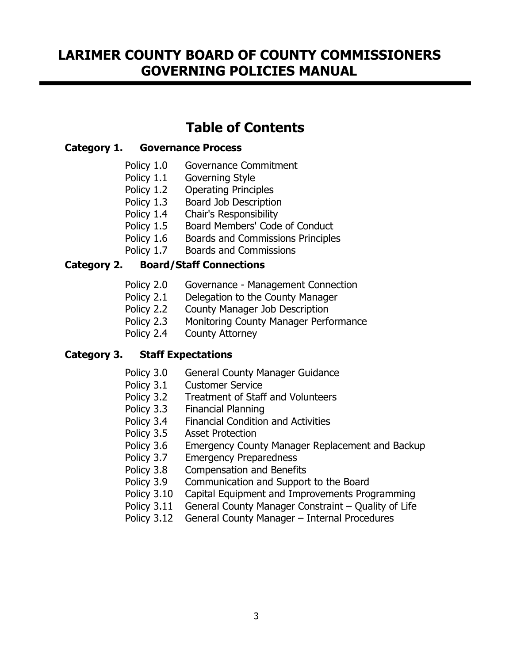# **LARIMER COUNTY BOARD OF COUNTY COMMISSIONERS GOVERNING POLICIES MANUAL**

# **Table of Contents**

## **Category 1. Governance Process**

- Policy 1.0 Governance Commitment
- Policy 1.1 Governing Style<br>Policy 1.2 Operating Princi
- Policy 1.2 Operating Principles
- Policy 1.3 Board Job Description
- 
- Policy 1.5 Board Members' Code of Conduct Policy 1.4 Chair's Responsibility<br>Policy 1.5 Board Members' Code
- Policy 1.6 Boards and Commissions Principles
- Policy 1.7 Boards and Commissions

# **Category 2. Board/Staff Connections**

- Policy 2.0 Governance Management Connection
- Policy 2.1 Delegation to the County Manager
- Policy 2.2 County Manager Job Description
- Policy 2.3 Monitoring County Manager Performance<br>Policy 2.4 County Attorney
- **County Attorney**

# **Category 3. Staff Expectations**

- Policy 3.0 General County Manager Guidance
- Policy 3.1 Customer Service
- Policy 3.2 Treatment of Staff and Volunteers
- Policy 3.3 Financial Planning
- Policy 3.4 Financial Condition and Activities<br>Policy 3.5 Asset Protection
- **Asset Protection**
- Policy 3.6 Emergency County Manager Replacement and Backup
- Policy 3.7 Emergency Preparedness<br>Policy 3.8 Compensation and Benefi
- Compensation and Benefits
- Policy 3.9 Communication and Support to the Board
- Policy 3.10 Capital Equipment and Improvements Programming
- Policy 3.11 General County Manager Constraint Quality of Life
- Policy 3.12 General County Manager Internal Procedures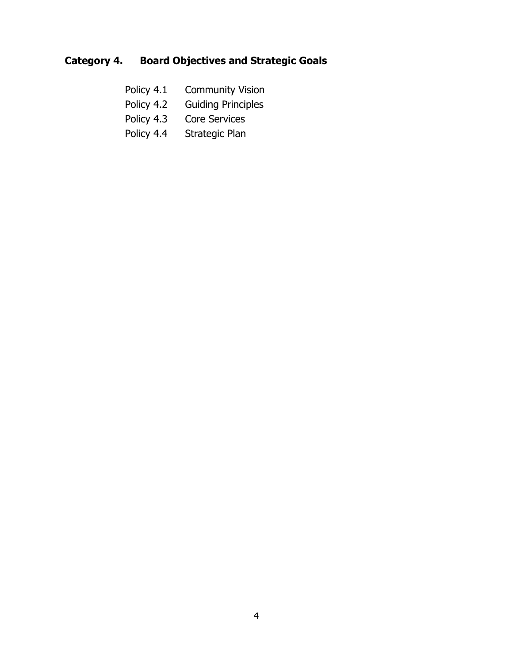# **Category 4. Board Objectives and Strategic Goals**

- Policy 4.1 Community Vision
- Policy 4.2 Guiding Principles
- Policy 4.3 Core Services
- Policy 4.4 Strategic Plan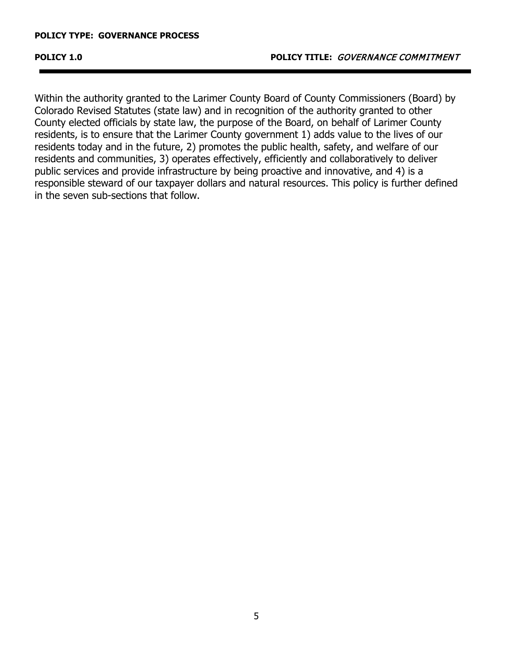Within the authority granted to the Larimer County Board of County Commissioners (Board) by Colorado Revised Statutes (state law) and in recognition of the authority granted to other County elected officials by state law, the purpose of the Board, on behalf of Larimer County residents, is to ensure that the Larimer County government 1) adds value to the lives of our residents today and in the future, 2) promotes the public health, safety, and welfare of our residents and communities, 3) operates effectively, efficiently and collaboratively to deliver public services and provide infrastructure by being proactive and innovative, and 4) is a responsible steward of our taxpayer dollars and natural resources. This policy is further defined in the seven sub-sections that follow.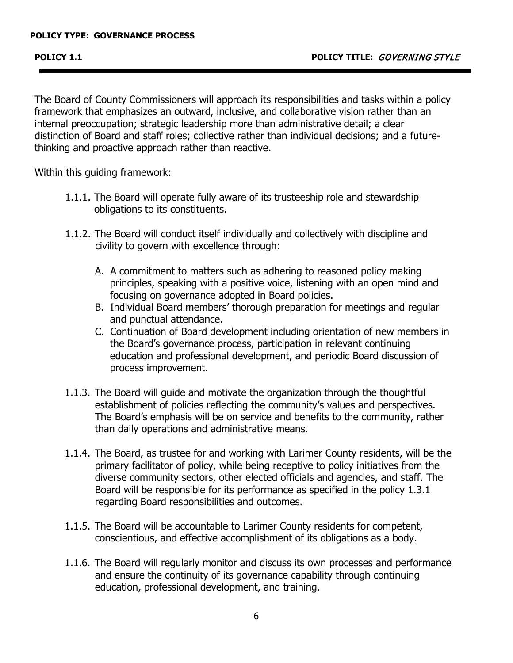The Board of County Commissioners will approach its responsibilities and tasks within a policy framework that emphasizes an outward, inclusive, and collaborative vision rather than an internal preoccupation; strategic leadership more than administrative detail; a clear distinction of Board and staff roles; collective rather than individual decisions; and a future-thinking and proactive approach rather than reactive.

Within this guiding framework:

- 1.1.1. The Board will operate fully aware of its trusteeship role and stewardship obligations to its constituents.
- 1.1.2. The Board will conduct itself individually and collectively with discipline and civility to govern with excellence through:
	- A. A commitment to matters such as adhering to reasoned policy making principles, speaking with a positive voice, listening with an open mind and focusing on governance adopted in Board policies.
	- B. Individual Board members' thorough preparation for meetings and regular and punctual attendance.
	- C. Continuation of Board development including orientation of new members in the Board's governance process, participation in relevant continuing education and professional development, and periodic Board discussion of process improvement.
- 1.1.3. The Board will guide and motivate the organization through the thoughtful establishment of policies reflecting the community's values and perspectives. The Board's emphasis will be on service and benefits to the community, rather than daily operations and administrative means.
- 1.1.4. The Board, as trustee for and working with Larimer County residents, will be the primary facilitator of policy, while being receptive to policy initiatives from the diverse community sectors, other elected officials and agencies, and staff. The Board will be responsible for its performance as specified in the policy 1.3.1 regarding Board responsibilities and outcomes.
- 1.1.5. The Board will be accountable to Larimer County residents for competent, conscientious, and effective accomplishment of its obligations as a body.
- 1.1.6. The Board will regularly monitor and discuss its own processes and performance and ensure the continuity of its governance capability through continuing education, professional development, and training.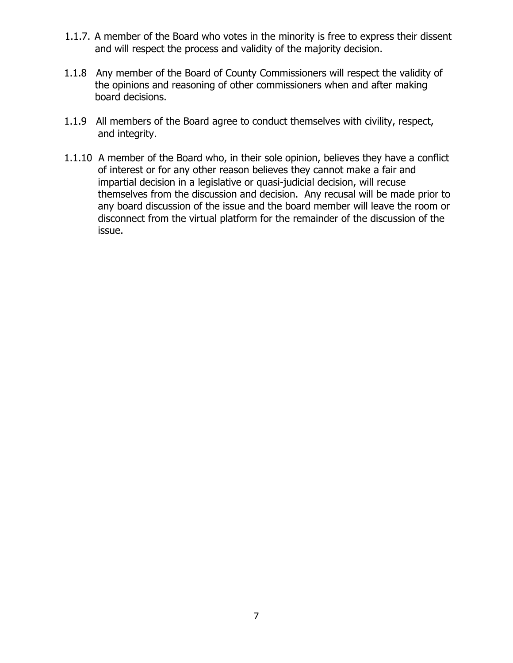- 1.1.7. A member of the Board who votes in the minority is free to express their dissent and will respect the process and validity of the majority decision.
- 1.1.8 Any member of the Board of County Commissioners will respect the validity of the opinions and reasoning of other commissioners when and after making board decisions.
- 1.1.9 All members of the Board agree to conduct themselves with civility, respect, and integrity.
- 1.1.10 A member of the Board who, in their sole opinion, believes they have a conflict of interest or for any other reason believes they cannot make a fair and impartial decision in a legislative or quasi-judicial decision, will recuse themselves from the discussion and decision. Any recusal will be made prior to any board discussion of the issue and the board member will leave the room or disconnect from the virtual platform for the remainder of the discussion of the issue.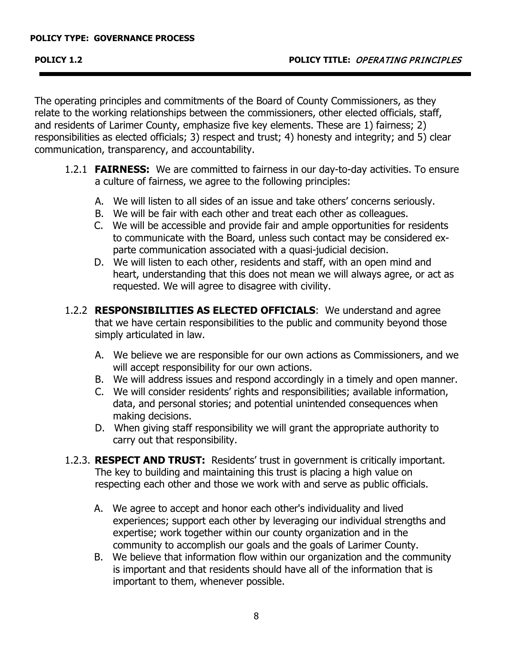The operating principles and commitments of the Board of County Commissioners, as they relate to the working relationships between the commissioners, other elected officials, staff, and residents of Larimer County, emphasize five key elements. These are 1) fairness; 2) responsibilities as elected officials; 3) respect and trust; 4) honesty and integrity; and 5) clear communication, transparency, and accountability.

- 1.2.1 **FAIRNESS:** We are committed to fairness in our day-to-day activities. To ensure a culture of fairness, we agree to the following principles:
	- A. We will listen to all sides of an issue and take others' concerns seriously.
	- B. We will be fair with each other and treat each other as colleagues.
	- C. We will be accessible and provide fair and ample opportunities for residents to communicate with the Board, unless such contact may be considered ex-parte communication associated with a quasi-judicial decision.
	- D. We will listen to each other, residents and staff, with an open mind and heart, understanding that this does not mean we will always agree, or act as requested. We will agree to disagree with civility.
- 1.2.2 **RESPONSIBILITIES AS ELECTED OFFICIALS**: We understand and agree that we have certain responsibilities to the public and community beyond those simply articulated in law.
	- A. We believe we are responsible for our own actions as Commissioners, and we will accept responsibility for our own actions.
	- B. We will address issues and respond accordingly in a timely and open manner.
	- C. We will consider residents' rights and responsibilities; available information, data, and personal stories; and potential unintended consequences when making decisions.
	- D. When giving staff responsibility we will grant the appropriate authority to carry out that responsibility.
- 1.2.3. **RESPECT AND TRUST:** Residents' trust in government is critically important. The key to building and maintaining this trust is placing a high value on respecting each other and those we work with and serve as public officials.
	- A. We agree to accept and honor each other's individuality and lived experiences; support each other by leveraging our individual strengths and expertise; work together within our county organization and in the community to accomplish our goals and the goals of Larimer County.
	- B. We believe that information flow within our organization and the community is important and that residents should have all of the information that is important to them, whenever possible.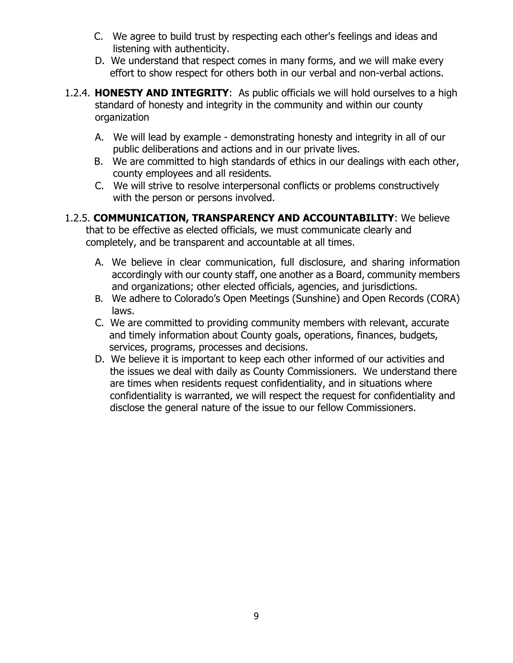- C. We agree to build trust by respecting each other's feelings and ideas and listening with authenticity.
- D. We understand that respect comes in many forms, and we will make every effort to show respect for others both in our verbal and non-verbal actions.
- 1.2.4. **HONESTY AND INTEGRITY**: As public officials we will hold ourselves to a high standard of honesty and integrity in the community and within our county organization
	- A. We will lead by example demonstrating honesty and integrity in all of our public deliberations and actions and in our private lives.
	- B. We are committed to high standards of ethics in our dealings with each other, county employees and all residents.
	- C. We will strive to resolve interpersonal conflicts or problems constructively with the person or persons involved.

## that to be effective as elected officials, we must communicate clearly and completely, and be transparent and accountable at all times. 1.2.5. **COMMUNICATION, TRANSPARENCY AND ACCOUNTABILITY**: We believe

- A. We believe in clear communication, full disclosure, and sharing information accordingly with our county staff, one another as a Board, community members and organizations; other elected officials, agencies, and jurisdictions.
- B. We adhere to Colorado's Open Meetings (Sunshine) and Open Records (CORA) laws.
- C. We are committed to providing community members with relevant, accurate and timely information about County goals, operations, finances, budgets, services, programs, processes and decisions.
- D. We believe it is important to keep each other informed of our activities and the issues we deal with daily as County Commissioners. We understand there are times when residents request confidentiality, and in situations where confidentiality is warranted, we will respect the request for confidentiality and disclose the general nature of the issue to our fellow Commissioners.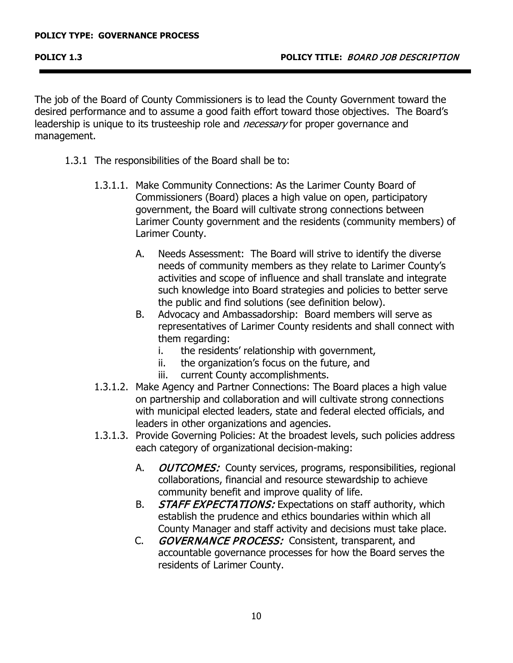The job of the Board of County Commissioners is to lead the County Government toward the desired performance and to assume a good faith effort toward those objectives. The Board's leadership is unique to its trusteeship role and *necessary* for proper governance and management.

- 1.3.1 The responsibilities of the Board shall be to:
	- 1.3.1.1. Make Community Connections: As the Larimer County Board of Commissioners (Board) places a high value on open, participatory government, the Board will cultivate strong connections between Larimer County government and the residents (community members) of Larimer County.
		- A. Needs Assessment: The Board will strive to identify the diverse needs of community members as they relate to Larimer County's activities and scope of influence and shall translate and integrate such knowledge into Board strategies and policies to better serve the public and find solutions (see definition below).
		- B. Advocacy and Ambassadorship: Board members will serve as representatives of Larimer County residents and shall connect with them regarding:
			- i. the residents' relationship with government,
			- ii. the organization's focus on the future, and
			- iii. current County accomplishments.
	- 1.3.1.2. Make Agency and Partner Connections: The Board places a high value on partnership and collaboration and will cultivate strong connections with municipal elected leaders, state and federal elected officials, and leaders in other organizations and agencies.
	- 1.3.1.3. Provide Governing Policies: At the broadest levels, such policies address each category of organizational decision-making:
		- A. OUTCOMES: County services, programs, responsibilities, regional collaborations, financial and resource stewardship to achieve community benefit and improve quality of life.
		- establish the prudence and ethics boundaries within which all County Manager and staff activity and decisions must take place. B. STAFF EXPECTATIONS: Expectations on staff authority, which
		- C. GOVERNANCE PROCESS: Consistent, transparent, and accountable governance processes for how the Board serves the residents of Larimer County.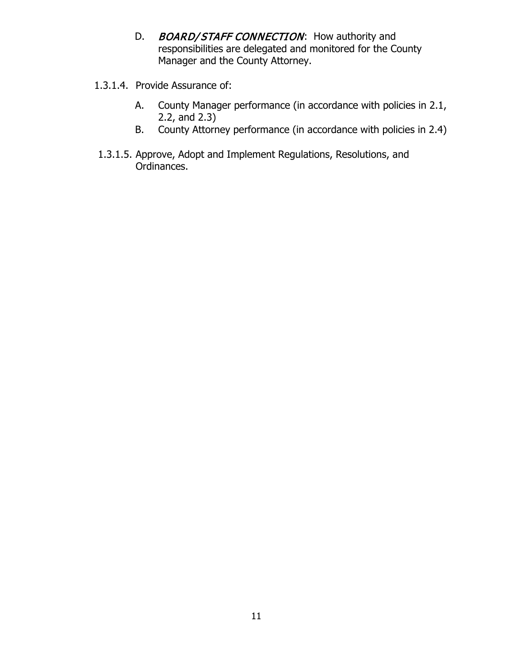- D. BOARD/STAFF CONNECTION: How authority and responsibilities are delegated and monitored for the County Manager and the County Attorney.
- 1.3.1.4. Provide Assurance of:
	- 2.2, and 2.3) A. County Manager performance (in accordance with policies in 2.1,
	- B. County Attorney performance (in accordance with policies in 2.4)
- 1.3.1.5. Approve, Adopt and Implement Regulations, Resolutions, and Ordinances.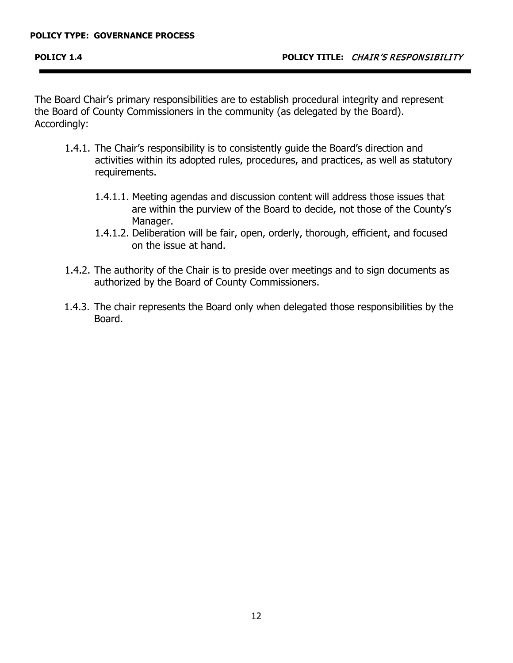The Board Chair's primary responsibilities are to establish procedural integrity and represent the Board of County Commissioners in the community (as delegated by the Board). Accordingly:

- 1.4.1. The Chair's responsibility is to consistently guide the Board's direction and activities within its adopted rules, procedures, and practices, as well as statutory requirements.
	- requirements.<br>1.4.1.1. Meeting agendas and discussion content will address those issues that are within the purview of the Board to decide, not those of the County's Manager.
	- 1.4.1.2. Deliberation will be fair, open, orderly, thorough, efficient, and focused on the issue at hand.
- 1.4.2. The authority of the Chair is to preside over meetings and to sign documents as authorized by the Board of County Commissioners.
- 1.4.3. The chair represents the Board only when delegated those responsibilities by the Board.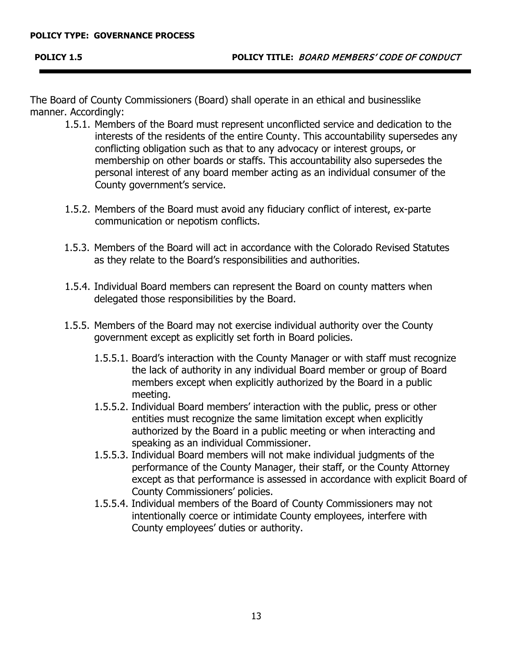The Board of County Commissioners (Board) shall operate in an ethical and businesslike manner. Accordingly:

- 1.5.1. Members of the Board must represent unconflicted service and dedication to the interests of the residents of the entire County. This accountability supersedes any conflicting obligation such as that to any advocacy or interest groups, or membership on other boards or staffs. This accountability also supersedes the personal interest of any board member acting as an individual consumer of the County government's service.
- 1.5.2. Members of the Board must avoid any fiduciary conflict of interest, ex-parte communication or nepotism conflicts.
- 1.5.3. Members of the Board will act in accordance with the Colorado Revised Statutes as they relate to the Board's responsibilities and authorities.
- 1.5.4. Individual Board members can represent the Board on county matters when delegated those responsibilities by the Board.
- 1.5.5. Members of the Board may not exercise individual authority over the County government except as explicitly set forth in Board policies.
	- 1.5.5.1. Board's interaction with the County Manager or with staff must recognize the lack of authority in any individual Board member or group of Board members except when explicitly authorized by the Board in a public meeting.
	- 1.5.5.2. Individual Board members' interaction with the public, press or other authorized by the Board in a public meeting or when interacting and speaking as an individual Commissioner. entities must recognize the same limitation except when explicitly
	- 1.5.5.3. Individual Board members will not make individual judgments of the performance of the County Manager, their staff, or the County Attorney except as that performance is assessed in accordance with explicit Board of County Commissioners' policies.
	- 1.5.5.4. Individual members of the Board of County Commissioners may not intentionally coerce or intimidate County employees, interfere with County employees' duties or authority.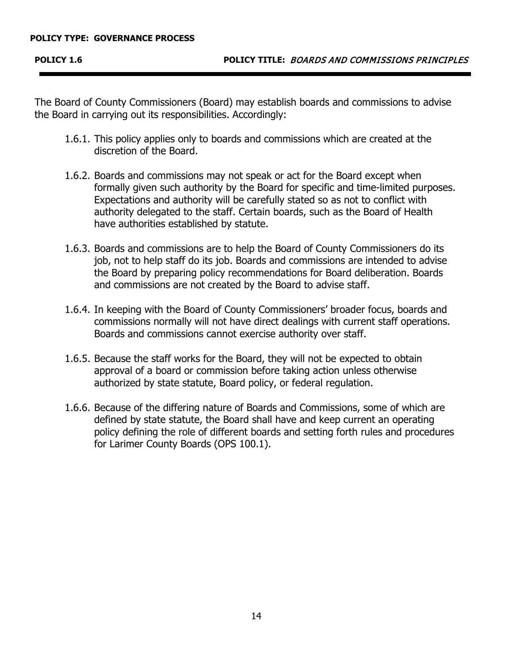**POLICY 1.6 POLICY TITLE:** BOARDS AND COMMISSIONS PRINCIPLES

 The Board of County Commissioners (Board) may establish boards and commissions to advise the Board in carrying out its responsibilities. Accordingly:

- 1.6.1. This policy applies only to boards and commissions which are created at the discretion of the Board.
- 1.6.2. Boards and commissions may not speak or act for the Board except when formally given such authority by the Board for specific and time-limited purposes. Expectations and authority will be carefully stated so as not to conflict with authority delegated to the staff. Certain boards, such as the Board of Health have authorities established by statute.
- 1.6.3. Boards and commissions are to help the Board of County Commissioners do its job, not to help staff do its job. Boards and commissions are intended to advise the Board by preparing policy recommendations for Board deliberation. Boards and commissions are not created by the Board to advise staff.
- 1.6.4. In keeping with the Board of County Commissioners' broader focus, boards and commissions normally will not have direct dealings with current staff operations. Boards and commissions cannot exercise authority over staff.
- 1.6.5. Because the staff works for the Board, they will not be expected to obtain approval of a board or commission before taking action unless otherwise authorized by state statute, Board policy, or federal regulation.
- 1.6.6. Because of the differing nature of Boards and Commissions, some of which are defined by state statute, the Board shall have and keep current an operating policy defining the role of different boards and setting forth rules and procedures for Larimer County Boards (OPS 100.1).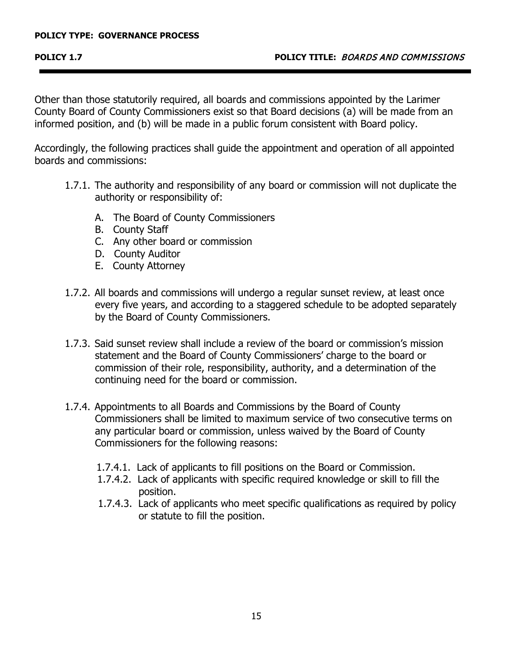Other than those statutorily required, all boards and commissions appointed by the Larimer County Board of County Commissioners exist so that Board decisions (a) will be made from an informed position, and (b) will be made in a public forum consistent with Board policy.

 Accordingly, the following practices shall guide the appointment and operation of all appointed boards and commissions:

- 1.7.1. The authority and responsibility of any board or commission will not duplicate the authority or responsibility of:
	- A. The Board of County Commissioners
	- B. County Staff
	- C. Any other board or commission
	- D. County Auditor
	- E. County Attorney
- 1.7.2. All boards and commissions will undergo a regular sunset review, at least once every five years, and according to a staggered schedule to be adopted separately by the Board of County Commissioners.
- 1.7.3. Said sunset review shall include a review of the board or commission's mission statement and the Board of County Commissioners' charge to the board or commission of their role, responsibility, authority, and a determination of the continuing need for the board or commission.
- 1.7.4. Appointments to all Boards and Commissions by the Board of County Commissioners shall be limited to maximum service of two consecutive terms on any particular board or commission, unless waived by the Board of County Commissioners for the following reasons:
	- 1.7.4.1. Lack of applicants to fill positions on the Board or Commission.
	- 1.7.4.2. Lack of applicants with specific required knowledge or skill to fill the position.
	- 1.7.4.3. Lack of applicants who meet specific qualifications as required by policy or statute to fill the position.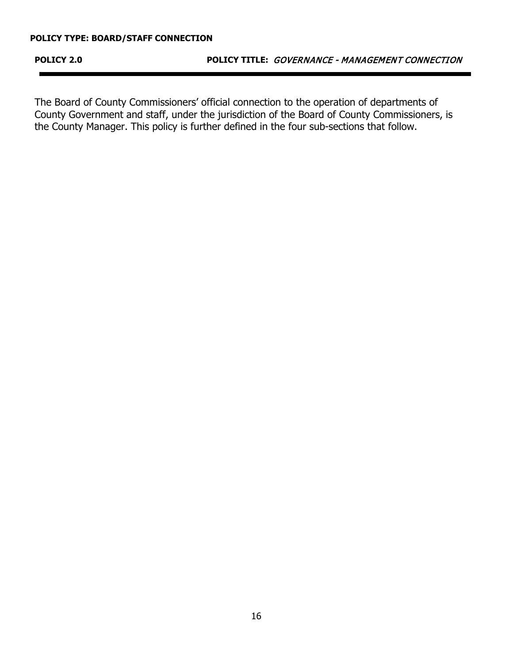The Board of County Commissioners' official connection to the operation of departments of County Government and staff, under the jurisdiction of the Board of County Commissioners, is the County Manager. This policy is further defined in the four sub-sections that follow.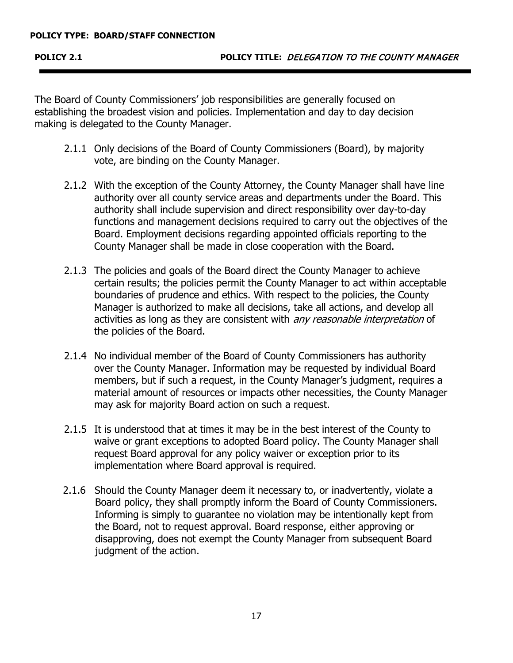The Board of County Commissioners' job responsibilities are generally focused on establishing the broadest vision and policies. Implementation and day to day decision making is delegated to the County Manager.

- 2.1.1 Only decisions of the Board of County Commissioners (Board), by majority vote, are binding on the County Manager.
- 2.1.2 With the exception of the County Attorney, the County Manager shall have line authority over all county service areas and departments under the Board. This authority shall include supervision and direct responsibility over day-to-day functions and management decisions required to carry out the objectives of the Board. Employment decisions regarding appointed officials reporting to the County Manager shall be made in close cooperation with the Board.
- 2.1.3 The policies and goals of the Board direct the County Manager to achieve certain results; the policies permit the County Manager to act within acceptable boundaries of prudence and ethics. With respect to the policies, the County Manager is authorized to make all decisions, take all actions, and develop all activities as long as they are consistent with *any reasonable interpretation* of the policies of the Board.
- 2.1.4 No individual member of the Board of County Commissioners has authority over the County Manager. Information may be requested by individual Board members, but if such a request, in the County Manager's judgment, requires a material amount of resources or impacts other necessities, the County Manager may ask for majority Board action on such a request.
- 2.1.5 It is understood that at times it may be in the best interest of the County to waive or grant exceptions to adopted Board policy. The County Manager shall request Board approval for any policy waiver or exception prior to its implementation where Board approval is required.
- 2.1.6 Should the County Manager deem it necessary to, or inadvertently, violate a Board policy, they shall promptly inform the Board of County Commissioners. Informing is simply to guarantee no violation may be intentionally kept from the Board, not to request approval. Board response, either approving or disapproving, does not exempt the County Manager from subsequent Board judgment of the action.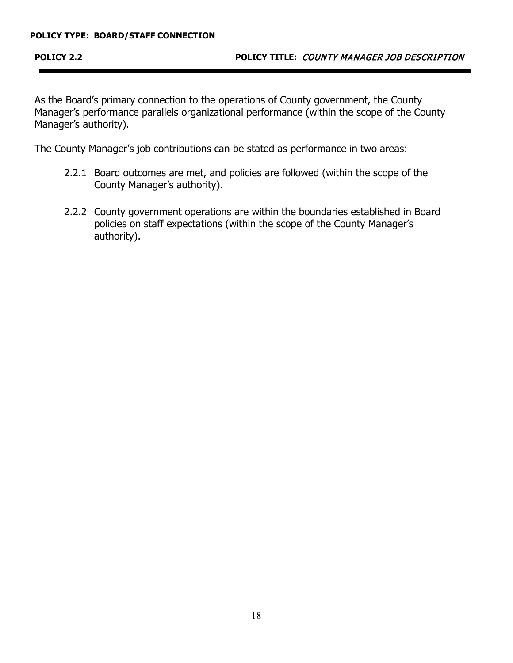As the Board's primary connection to the operations of County government, the County Manager's performance parallels organizational performance (within the scope of the County Manager's authority).

The County Manager's job contributions can be stated as performance in two areas:

- 2.2.1 Board outcomes are met, and policies are followed (within the scope of the County Manager's authority).
- 2.2.2 County government operations are within the boundaries established in Board policies on staff expectations (within the scope of the County Manager's authority).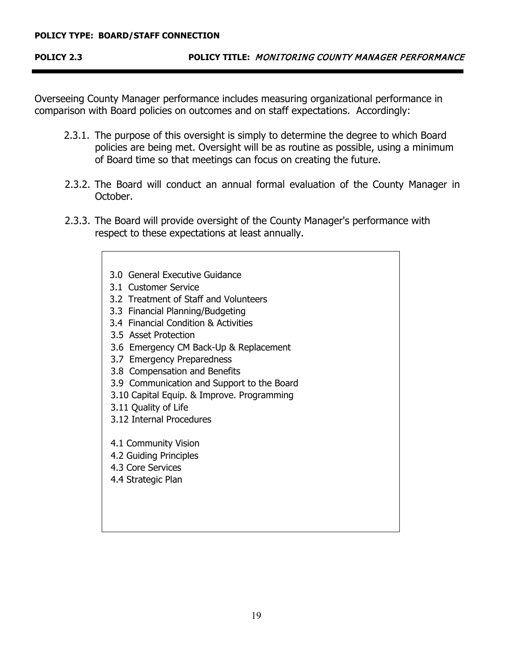### **POLICY 2.3 POLICY TITLE:** MONITORING COUNTY MANAGER PERFORMANCE

 Overseeing County Manager performance includes measuring organizational performance in comparison with Board policies on outcomes and on staff expectations. Accordingly:

- 2.3.1. The purpose of this oversight is simply to determine the degree to which Board policies are being met. Oversight will be as routine as possible, using a minimum of Board time so that meetings can focus on creating the future.
- 2.3.2. The Board will conduct an annual formal evaluation of the County Manager in October.
- 2.3.3. The Board will provide oversight of the County Manager's performance with respect to these expectations at least annually.
	- 3.0 General Executive Guidance
	- 3.1 Customer Service
	- 3.2 Treatment of Staff and Volunteers
	- 3.3 Financial Planning/Budgeting
	- 3.4 Financial Condition & Activities
	- 3.5 Asset Protection
	- 3.6 Emergency CM Back-Up & Replacement
	- 3.7 Emergency Preparedness
	- 3.8 Compensation and Benefits
	- 3.9 Communication and Support to the Board
	- 3.10 Capital Equip. & Improve. Programming
	- 3.11 Quality of Life
	- 3.12 Internal Procedures
	- 4.1 Community Vision
	- 4.2 Guiding Principles
	- 4.3 Core Services
	- 4.4 Strategic Plan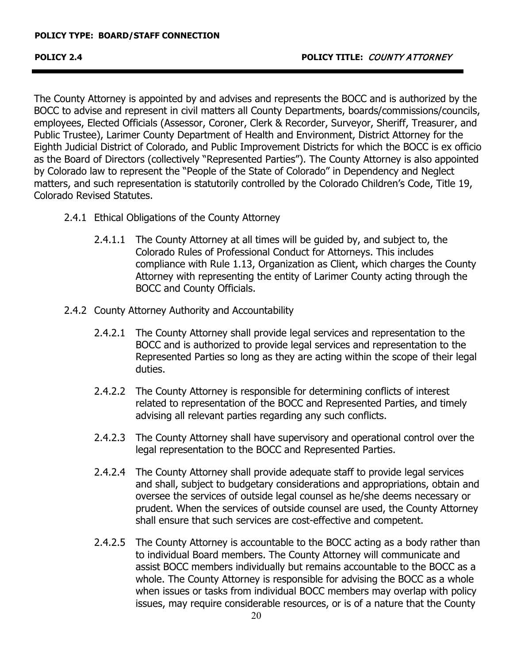The County Attorney is appointed by and advises and represents the BOCC and is authorized by the BOCC to advise and represent in civil matters all County Departments, boards/commissions/councils, employees, Elected Officials (Assessor, Coroner, Clerk & Recorder, Surveyor, Sheriff, Treasurer, and Public Trustee), Larimer County Department of Health and Environment, District Attorney for the Eighth Judicial District of Colorado, and Public Improvement Districts for which the BOCC is ex officio as the Board of Directors (collectively "Represented Parties"). The County Attorney is also appointed by Colorado law to represent the "People of the State of Colorado" in Dependency and Neglect matters, and such representation is statutorily controlled by the Colorado Children's Code, Title 19, Colorado Revised Statutes.

- 2.4.1 Ethical Obligations of the County Attorney
	- 2.4.1.1 The County Attorney at all times will be guided by, and subject to, the Colorado Rules of Professional Conduct for Attorneys. This includes compliance with Rule 1.13, Organization as Client, which charges the County Attorney with representing the entity of Larimer County acting through the BOCC and County Officials.
- 2.4.2 County Attorney Authority and Accountability
	- 2.4.2.1 The County Attorney shall provide legal services and representation to the BOCC and is authorized to provide legal services and representation to the Represented Parties so long as they are acting within the scope of their legal duties.
	- 2.4.2.2 The County Attorney is responsible for determining conflicts of interest related to representation of the BOCC and Represented Parties, and timely advising all relevant parties regarding any such conflicts.
	- 2.4.2.3 The County Attorney shall have supervisory and operational control over the legal representation to the BOCC and Represented Parties.
	- 2.4.2.4 The County Attorney shall provide adequate staff to provide legal services oversee the services of outside legal counsel as he/she deems necessary or prudent. When the services of outside counsel are used, the County Attorney shall ensure that such services are cost-effective and competent. and shall, subject to budgetary considerations and appropriations, obtain and
	- 2.4.2.5 The County Attorney is accountable to the BOCC acting as a body rather than to individual Board members. The County Attorney will communicate and assist BOCC members individually but remains accountable to the BOCC as a whole. The County Attorney is responsible for advising the BOCC as a whole when issues or tasks from individual BOCC members may overlap with policy issues, may require considerable resources, or is of a nature that the County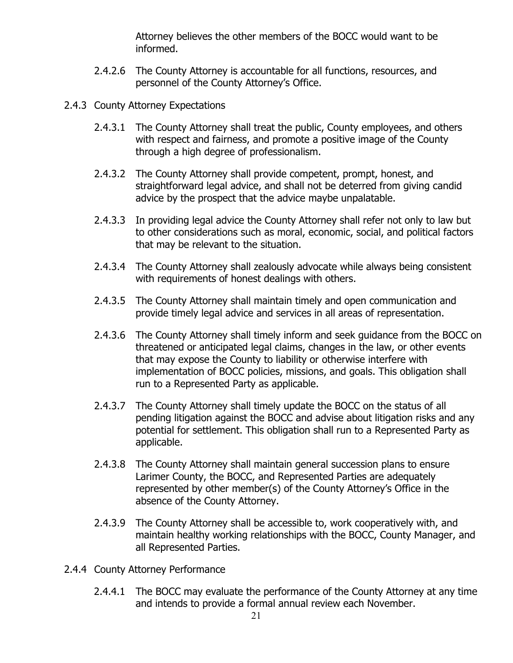Attorney believes the other members of the BOCC would want to be informed.

- 2.4.2.6 The County Attorney is accountable for all functions, resources, and personnel of the County Attorney's Office.
- 2.4.3 County Attorney Expectations
	- 2.4.3.1 The County Attorney shall treat the public, County employees, and others with respect and fairness, and promote a positive image of the County through a high degree of professionalism.
	- straightforward legal advice, and shall not be deterred from giving candid advice by the prospect that the advice maybe unpalatable. 2.4.3.2 The County Attorney shall provide competent, prompt, honest, and
	- 2.4.3.3 In providing legal advice the County Attorney shall refer not only to law but to other considerations such as moral, economic, social, and political factors that may be relevant to the situation.
	- 2.4.3.4 The County Attorney shall zealously advocate while always being consistent with requirements of honest dealings with others.
	- 2.4.3.5 The County Attorney shall maintain timely and open communication and provide timely legal advice and services in all areas of representation.
	- 2.4.3.6 The County Attorney shall timely inform and seek guidance from the BOCC on threatened or anticipated legal claims, changes in the law, or other events that may expose the County to liability or otherwise interfere with implementation of BOCC policies, missions, and goals. This obligation shall run to a Represented Party as applicable.
	- 2.4.3.7 The County Attorney shall timely update the BOCC on the status of all pending litigation against the BOCC and advise about litigation risks and any potential for settlement. This obligation shall run to a Represented Party as applicable.
	- 2.4.3.8 The County Attorney shall maintain general succession plans to ensure Larimer County, the BOCC, and Represented Parties are adequately represented by other member(s) of the County Attorney's Office in the absence of the County Attorney.
	- 2.4.3.9 The County Attorney shall be accessible to, work cooperatively with, and maintain healthy working relationships with the BOCC, County Manager, and all Represented Parties.
- 2.4.4 County Attorney Performance
	- 2.4.4.1 The BOCC may evaluate the performance of the County Attorney at any time and intends to provide a formal annual review each November.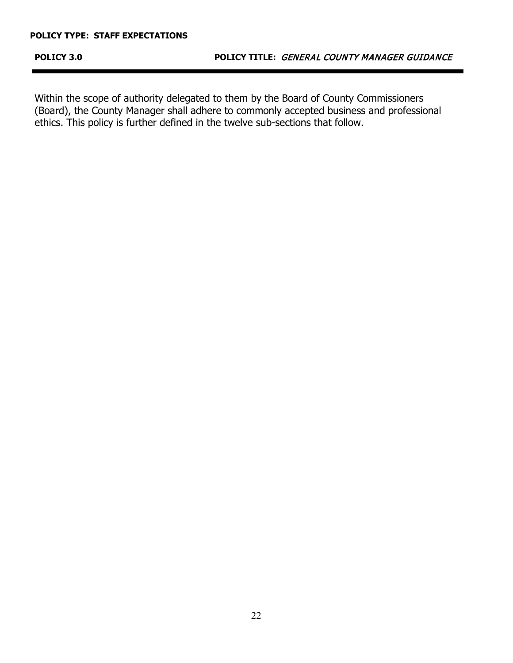Within the scope of authority delegated to them by the Board of County Commissioners (Board), the County Manager shall adhere to commonly accepted business and professional ethics. This policy is further defined in the twelve sub-sections that follow.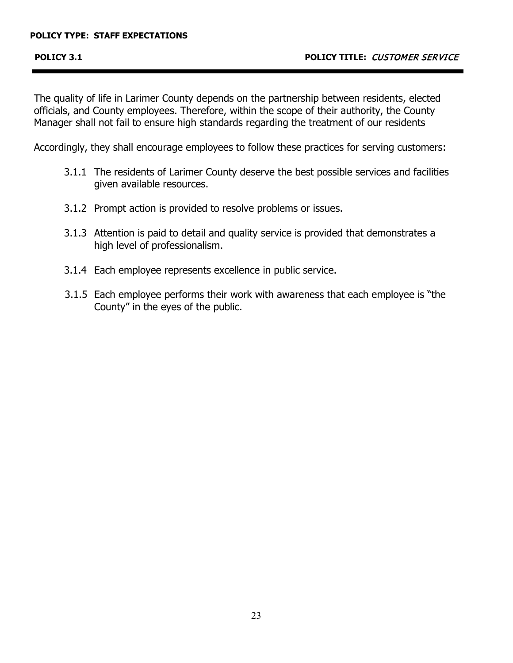The quality of life in Larimer County depends on the partnership between residents, elected officials, and County employees. Therefore, within the scope of their authority, the County Manager shall not fail to ensure high standards regarding the treatment of our residents

Accordingly, they shall encourage employees to follow these practices for serving customers:

- 3.1.1 The residents of Larimer County deserve the best possible services and facilities given available resources.
- 3.1.2 Prompt action is provided to resolve problems or issues.
- 3.1.3 Attention is paid to detail and quality service is provided that demonstrates a high level of professionalism.
- 3.1.4 Each employee represents excellence in public service.
- 3.1.5 Each employee performs their work with awareness that each employee is "the County" in the eyes of the public.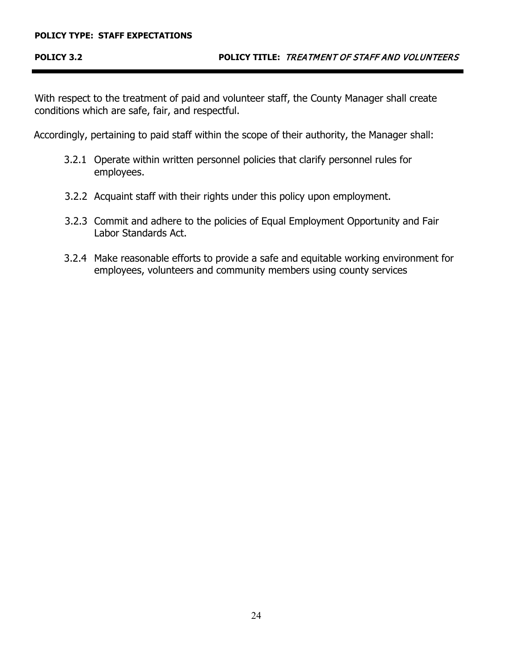### **POLICY 3.2 POLICY TITLE:** TREATMENT OF STAFF AND VOLUNTEERS

 With respect to the treatment of paid and volunteer staff, the County Manager shall create conditions which are safe, fair, and respectful.

Accordingly, pertaining to paid staff within the scope of their authority, the Manager shall:

- 3.2.1 Operate within written personnel policies that clarify personnel rules for employees.
- 3.2.2 Acquaint staff with their rights under this policy upon employment.
- 3.2.3 Commit and adhere to the policies of Equal Employment Opportunity and Fair Labor Standards Act.
- 3.2.4 Make reasonable efforts to provide a safe and equitable working environment for employees, volunteers and community members using county services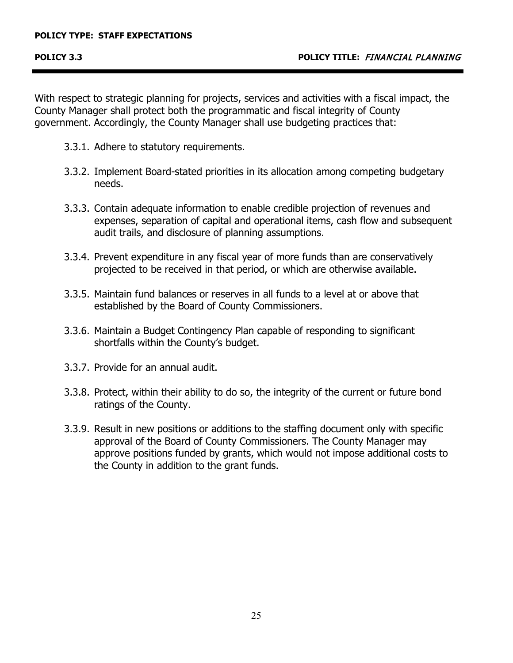### **POLICY 3.3 POLICY TITLE:** FINANCIAL PLANNING

 With respect to strategic planning for projects, services and activities with a fiscal impact, the County Manager shall protect both the programmatic and fiscal integrity of County government. Accordingly, the County Manager shall use budgeting practices that:

- 3.3.1. Adhere to statutory requirements.
- 3.3.2. Implement Board-stated priorities in its allocation among competing budgetary needs.
- 3.3.3. Contain adequate information to enable credible projection of revenues and expenses, separation of capital and operational items, cash flow and subsequent audit trails, and disclosure of planning assumptions.
- 3.3.4. Prevent expenditure in any fiscal year of more funds than are conservatively projected to be received in that period, or which are otherwise available.
- 3.3.5. Maintain fund balances or reserves in all funds to a level at or above that established by the Board of County Commissioners.
- 3.3.6. Maintain a Budget Contingency Plan capable of responding to significant shortfalls within the County's budget.
- 3.3.7. Provide for an annual audit.
- 3.3.8. Protect, within their ability to do so, the integrity of the current or future bond ratings of the County.
- 3.3.9. Result in new positions or additions to the staffing document only with specific approval of the Board of County Commissioners. The County Manager may approve positions funded by grants, which would not impose additional costs to the County in addition to the grant funds.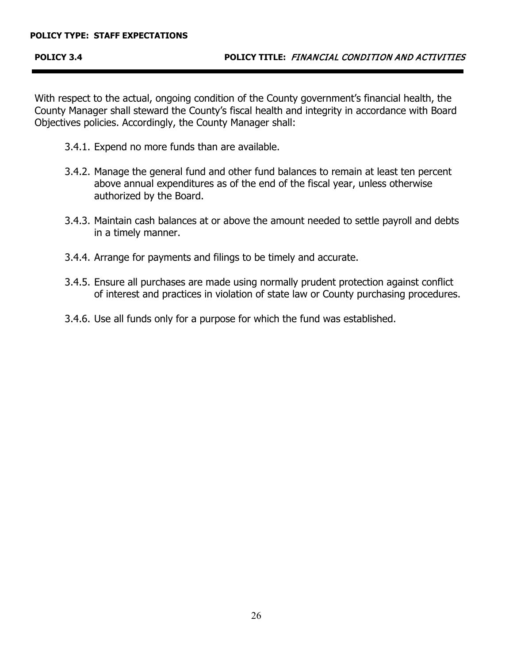### **POLICY 3.4 POLICY TITLE:** FINANCIAL CONDITION AND ACTIVITIES

 With respect to the actual, ongoing condition of the County government's financial health, the County Manager shall steward the County's fiscal health and integrity in accordance with Board Objectives policies. Accordingly, the County Manager shall:

- 3.4.1. Expend no more funds than are available.
- 3.4.2. Manage the general fund and other fund balances to remain at least ten percent above annual expenditures as of the end of the fiscal year, unless otherwise authorized by the Board.
- 3.4.3. Maintain cash balances at or above the amount needed to settle payroll and debts in a timely manner.
- 3.4.4. Arrange for payments and filings to be timely and accurate.
- 3.4.5. Ensure all purchases are made using normally prudent protection against conflict of interest and practices in violation of state law or County purchasing procedures.
- 3.4.6. Use all funds only for a purpose for which the fund was established.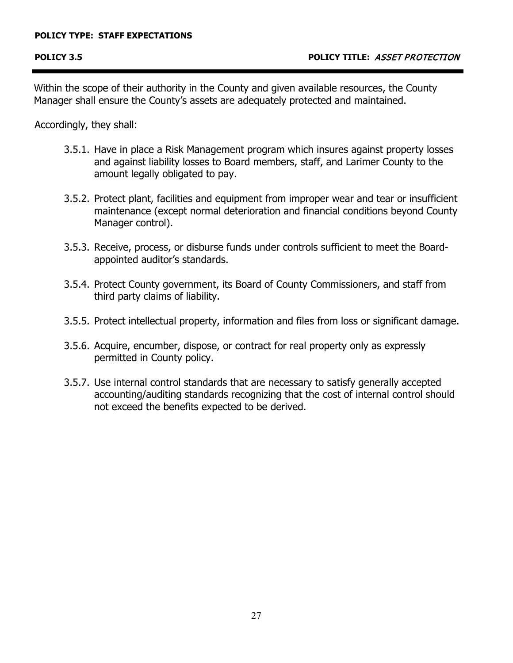Within the scope of their authority in the County and given available resources, the County Manager shall ensure the County's assets are adequately protected and maintained.

Accordingly, they shall:

- 3.5.1. Have in place a Risk Management program which insures against property losses and against liability losses to Board members, staff, and Larimer County to the amount legally obligated to pay.
- 3.5.2. Protect plant, facilities and equipment from improper wear and tear or insufficient maintenance (except normal deterioration and financial conditions beyond County Manager control).
- 3.5.3. Receive, process, or disburse funds under controls sufficient to meet the Boardappointed auditor's standards.
- 3.5.4. Protect County government, its Board of County Commissioners, and staff from third party claims of liability.
- 3.5.5. Protect intellectual property, information and files from loss or significant damage.
- 3.5.6. Acquire, encumber, dispose, or contract for real property only as expressly permitted in County policy.
- 3.5.7. Use internal control standards that are necessary to satisfy generally accepted accounting/auditing standards recognizing that the cost of internal control should not exceed the benefits expected to be derived.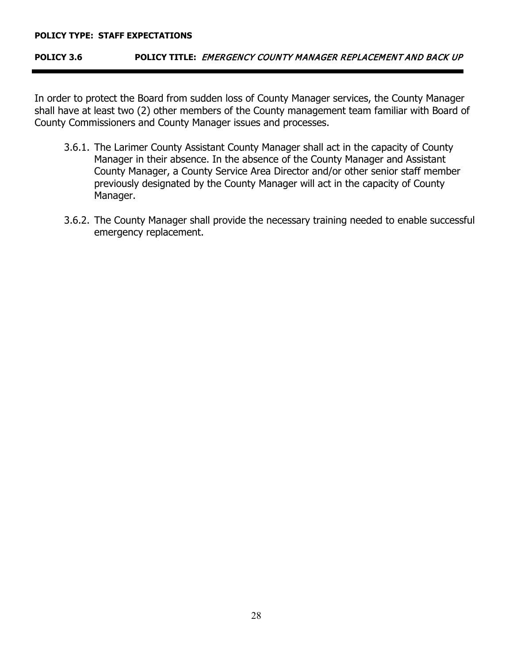### **POLICY TYPE: STAFF EXPECTATIONS**

### **POLICY 3.6 POLICY TITLE:** EMERGENCY COUNTY MANAGER REPLACEMENT AND BACK UP

 In order to protect the Board from sudden loss of County Manager services, the County Manager shall have at least two (2) other members of the County management team familiar with Board of County Commissioners and County Manager issues and processes.

- 3.6.1. The Larimer County Assistant County Manager shall act in the capacity of County Manager in their absence. In the absence of the County Manager and Assistant County Manager, a County Service Area Director and/or other senior staff member previously designated by the County Manager will act in the capacity of County Manager.
- 3.6.2. The County Manager shall provide the necessary training needed to enable successful emergency replacement.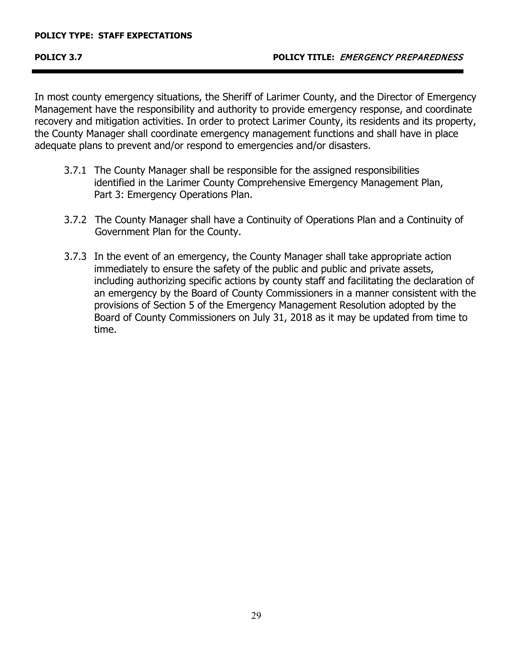In most county emergency situations, the Sheriff of Larimer County, and the Director of Emergency Management have the responsibility and authority to provide emergency response, and coordinate recovery and mitigation activities. In order to protect Larimer County, its residents and its property, the County Manager shall coordinate emergency management functions and shall have in place adequate plans to prevent and/or respond to emergencies and/or disasters.

- 3.7.1 The County Manager shall be responsible for the assigned responsibilities identified in the Larimer County Comprehensive Emergency Management Plan, Part 3: Emergency Operations Plan.
- 3.7.2 The County Manager shall have a Continuity of Operations Plan and a Continuity of Government Plan for the County.
- 3.7.3 In the event of an emergency, the County Manager shall take appropriate action immediately to ensure the safety of the public and public and private assets, including authorizing specific actions by county staff and facilitating the declaration of an emergency by the Board of County Commissioners in a manner consistent with the provisions of Section 5 of the Emergency Management Resolution adopted by the Board of County Commissioners on July 31, 2018 as it may be updated from time to time.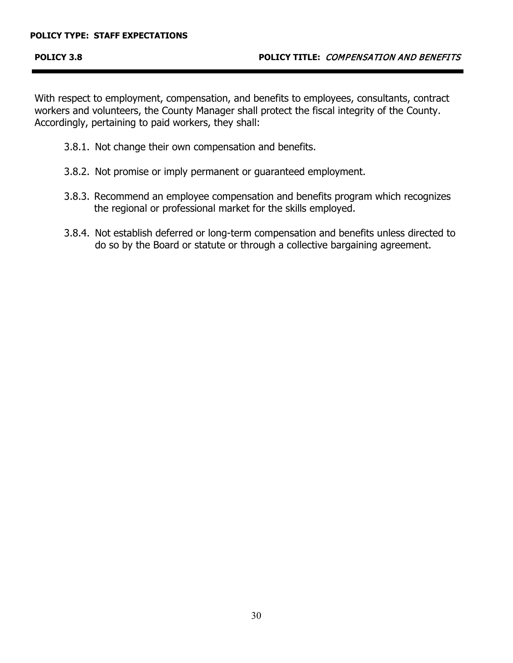With respect to employment, compensation, and benefits to employees, consultants, contract workers and volunteers, the County Manager shall protect the fiscal integrity of the County. Accordingly, pertaining to paid workers, they shall:

- 3.8.1. Not change their own compensation and benefits.
- 3.8.2. Not promise or imply permanent or guaranteed employment.
- 3.8.3. Recommend an employee compensation and benefits program which recognizes the regional or professional market for the skills employed.
- 3.8.4. Not establish deferred or long-term compensation and benefits unless directed to do so by the Board or statute or through a collective bargaining agreement.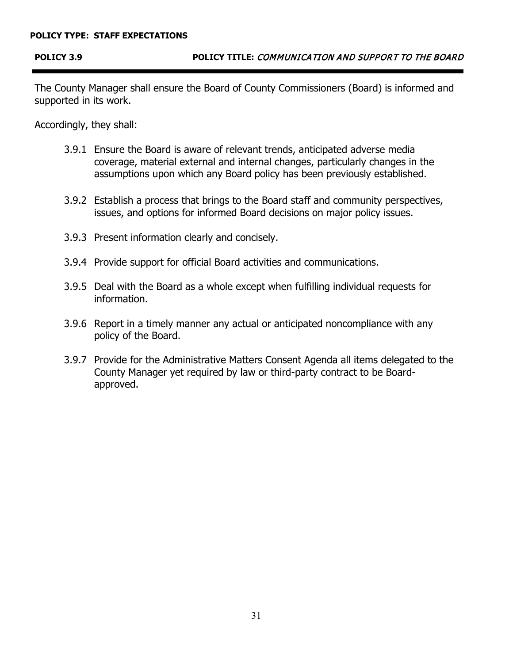The County Manager shall ensure the Board of County Commissioners (Board) is informed and supported in its work.

Accordingly, they shall:

- 3.9.1 Ensure the Board is aware of relevant trends, anticipated adverse media coverage, material external and internal changes, particularly changes in the assumptions upon which any Board policy has been previously established.
- 3.9.2 Establish a process that brings to the Board staff and community perspectives, issues, and options for informed Board decisions on major policy issues.
- 3.9.3 Present information clearly and concisely.
- 3.9.4 Provide support for official Board activities and communications.
- 3.9.5 Deal with the Board as a whole except when fulfilling individual requests for information.
- 3.9.6 Report in a timely manner any actual or anticipated noncompliance with any policy of the Board.
- 3.9.7 Provide for the Administrative Matters Consent Agenda all items delegated to the County Manager yet required by law or third-party contract to be Boardapproved.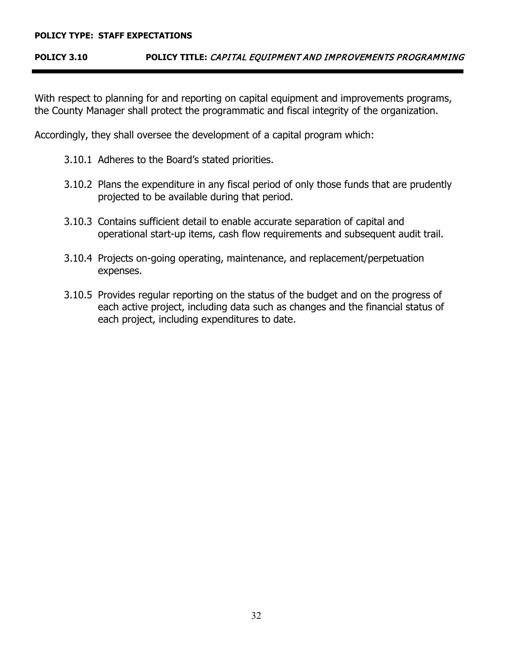## **POLICY 3.10 POLICY TITLE:** CAPITAL EQUIPMENT AND IMPROVEMENTS PROGRAMMING

 With respect to planning for and reporting on capital equipment and improvements programs, the County Manager shall protect the programmatic and fiscal integrity of the organization.

Accordingly, they shall oversee the development of a capital program which:

- 3.10.1 Adheres to the Board's stated priorities.
- 3.10.2 Plans the expenditure in any fiscal period of only those funds that are prudently projected to be available during that period.
- 3.10.3 Contains sufficient detail to enable accurate separation of capital and operational start-up items, cash flow requirements and subsequent audit trail.
- 3.10.4 Projects on-going operating, maintenance, and replacement/perpetuation expenses.
- 3.10.5 Provides regular reporting on the status of the budget and on the progress of each active project, including data such as changes and the financial status of each project, including expenditures to date.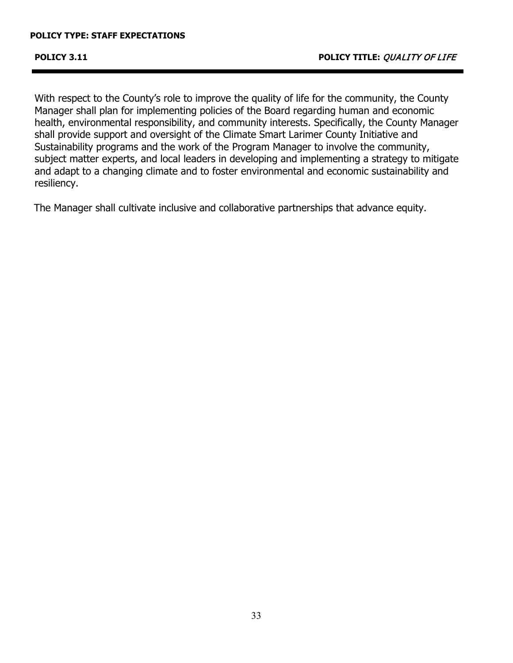With respect to the County's role to improve the quality of life for the community, the County Manager shall plan for implementing policies of the Board regarding human and economic health, environmental responsibility, and community interests. Specifically, the County Manager shall provide support and oversight of the Climate Smart Larimer County Initiative and Sustainability programs and the work of the Program Manager to involve the community, subject matter experts, and local leaders in developing and implementing a strategy to mitigate and adapt to a changing climate and to foster environmental and economic sustainability and resiliency.

The Manager shall cultivate inclusive and collaborative partnerships that advance equity.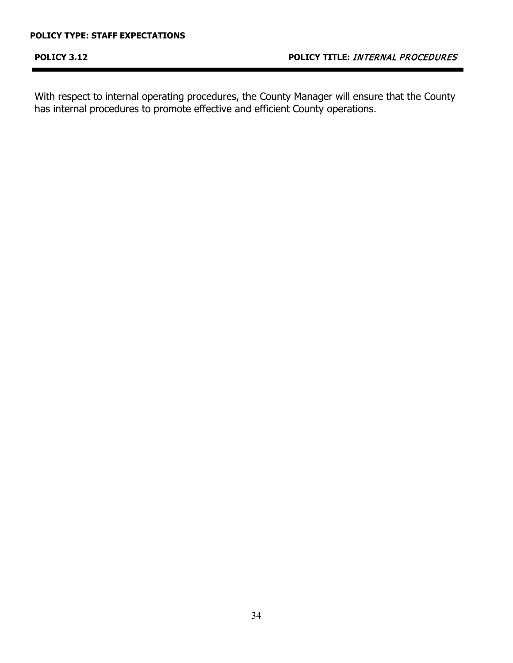**POLICY 3.12** 

 With respect to internal operating procedures, the County Manager will ensure that the County has internal procedures to promote effective and efficient County operations.